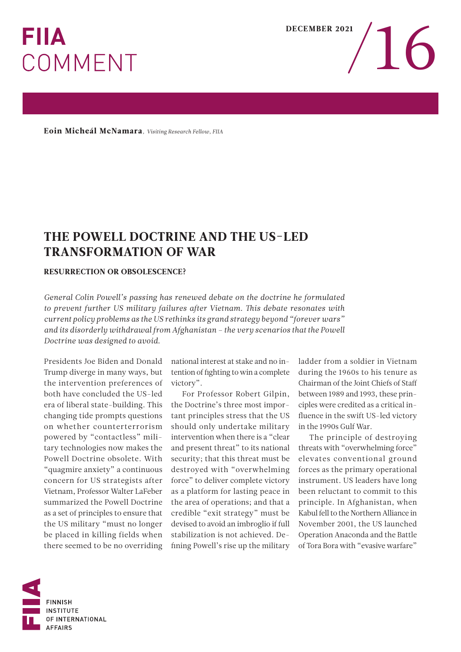## **FIIA COMMENT**

Eoin Micheál McNamara*, Visiting Research Fellow, FIIA* 

## THE POWELL DOCTRINE AND THE US-LED TRANSFORMATION OF WAR

## RESURRECTION OR OBSOLESCENCE?

*General Colin Powell's passing has renewed debate on the doctrine he formulated to prevent further US military failures after Vietnam. Tis debate resonates with current policy problems as the US rethinks its grand strategy beyond "forever wars" and its disorderly withdrawal from Afghanistan – the very scenarios that the Powell Doctrine was designed to avoid.* 

both have concluded the US-led For Professor Robert Gilpin, between 1989 and 1993, these prin-

Trump diverge in many ways, but tention of fghting to win a complete during the 1960s to his tenure as the intervention preferences of victory". Chairman of the Joint Chiefs of Staf

era of liberal state-building. This the Doctrine's three most impor- ciples were credited as a critical inchanging tide prompts questions tant principles stress that the US fluence in the swift US-led victory on whether counterterrorism should only undertake military in the 1990s Gulf War. powered by "contactless" mili- intervention when there is a "clear The principle of destroying tary technologies now makes the and present threat" to its national threats with "overwhelming force" Powell Doctrine obsolete. With security; that this threat must be elevates conventional ground "quagmire anxiety" a continuous destroyed with "overwhelming forces as the primary operational concern for US strategists after force" to deliver complete victory instrument. US leaders have long Vietnam, Professor Walter LaFeber as a platform for lasting peace in been reluctant to commit to this summarized the Powell Doctrine the area of operations; and that a principle. In Afghanistan, when as a set of principles to ensure that credible "exit strategy" must be Kabul fell to the Northern Alliance in the US military "must no longer devised to avoid an imbroglio if full November 2001, the US launched be placed in killing fields when stabilization is not achieved. De- Operation Anaconda and the Battle there seemed to be no overriding fining Powell's rise up the military of Tora Bora with "evasive warfare"

Presidents Joe Biden and Donald national interest at stake and no in- ladder from a soldier in Vietnam